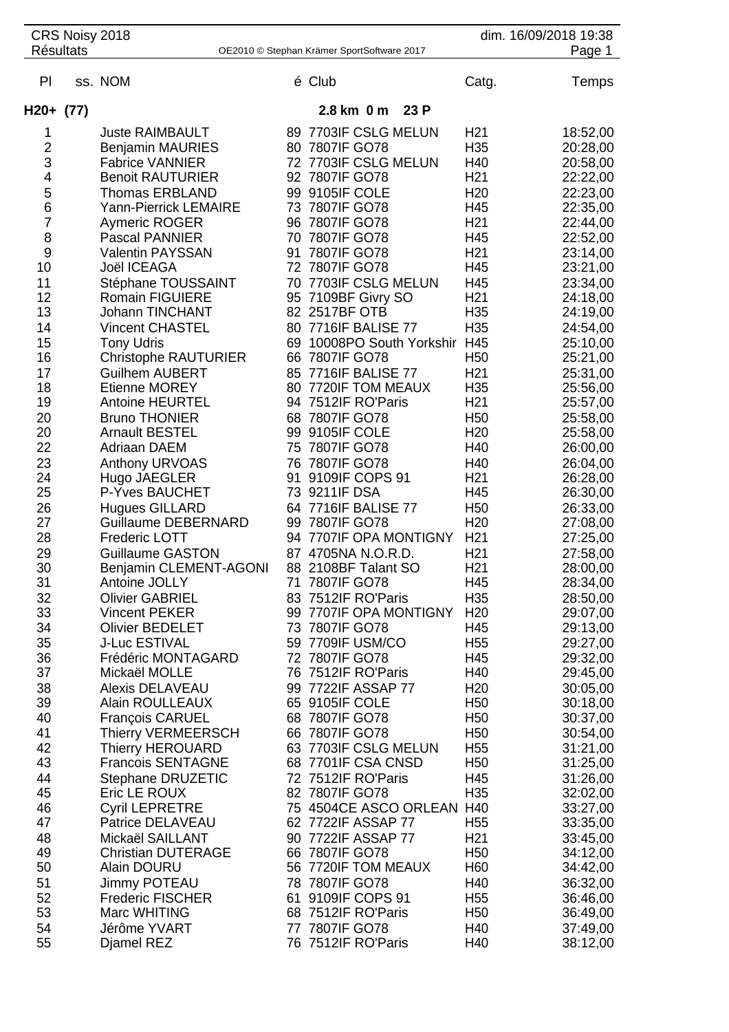|                  | CRS Noisy 2018 |                                                     |    |                                            |      |                                    | dim. 16/09/2018 19:38 |
|------------------|----------------|-----------------------------------------------------|----|--------------------------------------------|------|------------------------------------|-----------------------|
| <b>Résultats</b> |                |                                                     |    | OE2010 © Stephan Krämer SportSoftware 2017 |      |                                    | Page 1                |
| PI               |                | ss. NOM                                             |    | é Club                                     |      | Catg.                              | Temps                 |
| $H20+ (77)$      |                |                                                     |    | 2.8 km 0 m                                 | 23 P |                                    |                       |
| 1                |                | <b>Juste RAIMBAULT</b>                              |    | 89 7703IF CSLG MELUN                       |      | H <sub>21</sub>                    | 18:52,00              |
| $\overline{c}$   |                | <b>Benjamin MAURIES</b>                             |    | 80 7807IF GO78                             |      | H35                                | 20:28,00              |
| 3                |                | <b>Fabrice VANNIER</b>                              |    | 72 7703IF CSLG MELUN                       |      | H40                                | 20:58,00              |
| 4                |                | <b>Benoit RAUTURIER</b>                             |    | 92 7807IF GO78                             |      | H <sub>21</sub>                    | 22:22,00              |
| 5                |                | Thomas ERBLAND                                      |    | 99 9105IF COLE                             |      | H <sub>20</sub>                    | 22:23,00              |
| 6                |                | <b>Yann-Pierrick LEMAIRE</b>                        |    | 73 7807IF GO78                             |      | H45                                | 22:35,00              |
| 7                |                | <b>Aymeric ROGER</b><br><b>Pascal PANNIER</b>       |    | 96 7807IF GO78                             |      | H <sub>21</sub>                    | 22:44,00              |
| 8<br>9           |                | <b>Valentin PAYSSAN</b>                             | 91 | 70 7807IF GO78<br>7807IF GO78              |      | H45<br>H <sub>21</sub>             | 22:52,00<br>23:14,00  |
| 10               |                | Joël ICEAGA                                         |    | 72 7807IF GO78                             |      | H45                                | 23:21,00              |
| 11               |                | Stéphane TOUSSAINT                                  |    | 70 7703IF CSLG MELUN                       |      | H45                                | 23:34,00              |
| 12               |                | <b>Romain FIGUIERE</b>                              |    | 95 7109BF Givry SO                         |      | H <sub>21</sub>                    | 24:18,00              |
| 13               |                | <b>Johann TINCHANT</b>                              |    | 82 2517BF OTB                              |      | H <sub>35</sub>                    | 24:19,00              |
| 14               |                | <b>Vincent CHASTEL</b>                              |    | 80 7716IF BALISE 77                        |      | H35                                | 24:54,00              |
| 15               |                | <b>Tony Udris</b>                                   | 69 | 10008PO South Yorkshir H45                 |      |                                    | 25:10,00              |
| 16               |                | <b>Christophe RAUTURIER</b>                         | 66 | 7807IF GO78                                |      | H <sub>50</sub>                    | 25:21,00              |
| 17               |                | <b>Guilhem AUBERT</b>                               |    | 85 7716IF BALISE 77                        |      | H <sub>21</sub>                    | 25:31,00              |
| 18               |                | <b>Etienne MOREY</b>                                |    | 80 7720IF TOM MEAUX                        |      | H35                                | 25:56,00              |
| 19               |                | <b>Antoine HEURTEL</b>                              |    | 94 7512IF RO'Paris                         |      | H <sub>21</sub>                    | 25:57,00              |
| 20<br>20         |                | <b>Bruno THONIER</b><br><b>Arnault BESTEL</b>       | 99 | 68 7807IF GO78<br>9105IF COLE              |      | H <sub>50</sub><br>H <sub>20</sub> | 25:58,00<br>25:58,00  |
| 22               |                | Adriaan DAEM                                        |    | 75 7807IF GO78                             |      | H40                                | 26:00,00              |
| 23               |                | Anthony URVOAS                                      |    | 76 7807IF GO78                             |      | H40                                | 26:04,00              |
| 24               |                | Hugo JAEGLER                                        | 91 | 9109IF COPS 91                             |      | H <sub>21</sub>                    | 26:28,00              |
| 25               |                | P-Yves BAUCHET                                      |    | 73 9211IF DSA                              |      | H45                                | 26:30,00              |
| 26               |                | <b>Hugues GILLARD</b>                               |    | 64 7716IF BALISE 77                        |      | H <sub>50</sub>                    | 26:33,00              |
| 27               |                | <b>Guillaume DEBERNARD</b>                          |    | 99 7807IF GO78                             |      | H <sub>20</sub>                    | 27:08,00              |
| 28               |                | <b>Frederic LOTT</b>                                |    | 94 7707IF OPA MONTIGNY                     |      | H <sub>21</sub>                    | 27:25,00              |
| 29               |                | <b>Guillaume GASTON</b>                             |    | 87 4705NA N.O.R.D.                         |      | H <sub>21</sub>                    | 27:58,00              |
| 30               |                | Benjamin CLEMENT-AGONI                              |    | 88 2108BF Talant SO                        |      | H <sub>21</sub>                    | 28:00,00              |
| 31<br>32         |                | Antoine JOLLY<br><b>Olivier GABRIEL</b>             |    | 71 7807IF GO78<br>83 7512IF RO'Paris       |      | H45<br>H <sub>35</sub>             | 28:34,00<br>28:50,00  |
| 33               |                | <b>Vincent PEKER</b>                                |    | 99 7707IF OPA MONTIGNY                     |      | H <sub>20</sub>                    | 29:07,00              |
| 34               |                | <b>Olivier BEDELET</b>                              |    | 73 7807IF GO78                             |      | H45                                | 29:13,00              |
| 35               |                | <b>J-Luc ESTIVAL</b>                                |    | 59 7709IF USM/CO                           |      | H <sub>55</sub>                    | 29:27,00              |
| 36               |                | Frédéric MONTAGARD                                  |    | 72 7807IF GO78                             |      | H45                                | 29:32,00              |
| 37               |                | Mickaël MOLLE                                       |    | 76 7512IF RO'Paris                         |      | H40                                | 29:45,00              |
| 38               |                | <b>Alexis DELAVEAU</b>                              |    | 99 7722IF ASSAP 77                         |      | H <sub>20</sub>                    | 30:05,00              |
| 39               |                | <b>Alain ROULLEAUX</b>                              |    | 65 9105IF COLE                             |      | H <sub>50</sub>                    | 30:18,00              |
| 40               |                | <b>François CARUEL</b>                              |    | 68 7807IF GO78                             |      | H <sub>50</sub>                    | 30:37,00              |
| 41               |                | <b>Thierry VERMEERSCH</b>                           |    | 66 7807IF GO78                             |      | H <sub>50</sub>                    | 30:54,00              |
| 42<br>43         |                | <b>Thierry HEROUARD</b><br><b>Francois SENTAGNE</b> |    | 63 7703IF CSLG MELUN<br>68 7701IF CSA CNSD |      | H <sub>55</sub><br>H <sub>50</sub> | 31:21,00<br>31:25,00  |
| 44               |                | Stephane DRUZETIC                                   |    | 72 7512IF RO'Paris                         |      | H45                                | 31:26,00              |
| 45               |                | Eric LE ROUX                                        |    | 82 7807IF GO78                             |      | H <sub>35</sub>                    | 32:02,00              |
| 46               |                | <b>Cyril LEPRETRE</b>                               |    | 75 4504CE ASCO ORLEAN H40                  |      |                                    | 33:27,00              |
| 47               |                | Patrice DELAVEAU                                    |    | 62 7722IF ASSAP 77                         |      | H <sub>55</sub>                    | 33:35,00              |
| 48               |                | Mickaël SAILLANT                                    |    | 90 7722IF ASSAP 77                         |      | H <sub>21</sub>                    | 33:45,00              |
| 49               |                | <b>Christian DUTERAGE</b>                           |    | 66 7807IF GO78                             |      | H <sub>50</sub>                    | 34:12,00              |
| 50               |                | <b>Alain DOURU</b>                                  |    | 56 7720IF TOM MEAUX                        |      | H <sub>60</sub>                    | 34:42,00              |
| 51               |                | <b>Jimmy POTEAU</b>                                 |    | 78 7807IF GO78                             |      | H40                                | 36:32,00              |
| 52               |                | <b>Frederic FISCHER</b>                             | 61 | 9109IF COPS 91                             |      | H <sub>55</sub>                    | 36:46,00              |
| 53               |                | Marc WHITING                                        |    | 68 7512IF RO'Paris<br>77 7807IF GO78       |      | H <sub>50</sub>                    | 36:49,00              |
| 54<br>55         |                | Jérôme YVART<br>Djamel REZ                          |    | 76 7512IF RO'Paris                         |      | H40<br>H40                         | 37:49,00<br>38:12,00  |
|                  |                |                                                     |    |                                            |      |                                    |                       |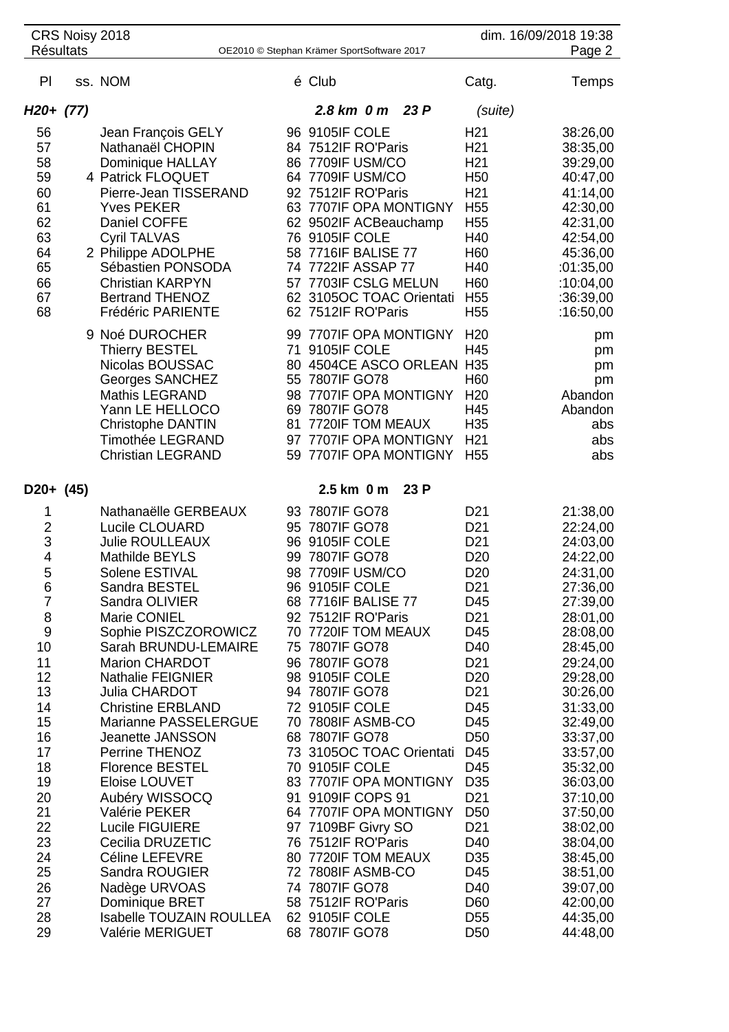| <b>Résultats</b>                                                                                                                                                           | CRS Noisy 2018 |                                                                                                                                                                                                                                                                                                                                                                                                                                                                                                                                                           |          | OE2010 © Stephan Krämer SportSoftware 2017                                                                                                                                                                                                                                                                                                                                                                                                                                                                                                           |                                                                                                                                                                                                                                                                                                                                                                        | dim. 16/09/2018 19:38<br>Page 2                                                                                                                                                                                                                                                                                      |
|----------------------------------------------------------------------------------------------------------------------------------------------------------------------------|----------------|-----------------------------------------------------------------------------------------------------------------------------------------------------------------------------------------------------------------------------------------------------------------------------------------------------------------------------------------------------------------------------------------------------------------------------------------------------------------------------------------------------------------------------------------------------------|----------|------------------------------------------------------------------------------------------------------------------------------------------------------------------------------------------------------------------------------------------------------------------------------------------------------------------------------------------------------------------------------------------------------------------------------------------------------------------------------------------------------------------------------------------------------|------------------------------------------------------------------------------------------------------------------------------------------------------------------------------------------------------------------------------------------------------------------------------------------------------------------------------------------------------------------------|----------------------------------------------------------------------------------------------------------------------------------------------------------------------------------------------------------------------------------------------------------------------------------------------------------------------|
|                                                                                                                                                                            |                |                                                                                                                                                                                                                                                                                                                                                                                                                                                                                                                                                           |          |                                                                                                                                                                                                                                                                                                                                                                                                                                                                                                                                                      |                                                                                                                                                                                                                                                                                                                                                                        |                                                                                                                                                                                                                                                                                                                      |
| PI                                                                                                                                                                         |                | ss. NOM                                                                                                                                                                                                                                                                                                                                                                                                                                                                                                                                                   |          | é Club                                                                                                                                                                                                                                                                                                                                                                                                                                                                                                                                               | Catg.                                                                                                                                                                                                                                                                                                                                                                  | Temps                                                                                                                                                                                                                                                                                                                |
| H20+ (77)                                                                                                                                                                  |                |                                                                                                                                                                                                                                                                                                                                                                                                                                                                                                                                                           |          | 2.8 km 0 m<br>23 P                                                                                                                                                                                                                                                                                                                                                                                                                                                                                                                                   | (suite)                                                                                                                                                                                                                                                                                                                                                                |                                                                                                                                                                                                                                                                                                                      |
| 56<br>57<br>58<br>59<br>60<br>61<br>62<br>63<br>64<br>65<br>66<br>67<br>68                                                                                                 |                | Jean François GELY<br>Nathanaël CHOPIN<br>Dominique HALLAY<br>4 Patrick FLOQUET<br>Pierre-Jean TISSERAND<br><b>Yves PEKER</b><br>Daniel COFFE<br><b>Cyril TALVAS</b><br>2 Philippe ADOLPHE<br>Sébastien PONSODA<br><b>Christian KARPYN</b><br><b>Bertrand THENOZ</b><br>Frédéric PARIENTE<br>9 Noé DUROCHER                                                                                                                                                                                                                                               |          | 96 9105IF COLE<br>84 7512IF RO'Paris<br>86 7709IF USM/CO<br>64 7709IF USM/CO<br>92 7512IF RO'Paris<br>63 7707IF OPA MONTIGNY<br>62 9502IF ACBeauchamp<br>76 9105IF COLE<br>58 7716IF BALISE 77<br>74 7722IF ASSAP 77<br>57 7703IF CSLG MELUN<br>62 3105OC TOAC Orientati<br>62 7512IF RO'Paris<br>99 7707IF OPA MONTIGNY                                                                                                                                                                                                                             | H <sub>21</sub><br>H <sub>21</sub><br>H <sub>21</sub><br>H <sub>50</sub><br>H <sub>21</sub><br>H <sub>55</sub><br>H <sub>55</sub><br>H40<br>H <sub>60</sub><br>H40<br>H60<br>H <sub>55</sub><br>H <sub>55</sub><br>H <sub>20</sub>                                                                                                                                     | 38:26,00<br>38:35,00<br>39:29,00<br>40:47,00<br>41:14,00<br>42:30,00<br>42:31,00<br>42:54,00<br>45:36,00<br>:01:35,00<br>:10:04,00<br>:36:39,00<br>:16:50,00                                                                                                                                                         |
|                                                                                                                                                                            |                | <b>Thierry BESTEL</b><br>Nicolas BOUSSAC<br><b>Georges SANCHEZ</b><br>Mathis LEGRAND<br>Yann LE HELLOCO<br><b>Christophe DANTIN</b><br><b>Timothée LEGRAND</b><br><b>Christian LEGRAND</b>                                                                                                                                                                                                                                                                                                                                                                | 71<br>81 | 9105IF COLE<br>80 4504CE ASCO ORLEAN H35<br>55 7807IF GO78<br>98 7707IF OPA MONTIGNY<br>69 7807IF GO78<br>7720IF TOM MEAUX<br>97 7707IF OPA MONTIGNY<br>59 7707IF OPA MONTIGNY                                                                                                                                                                                                                                                                                                                                                                       | H45<br>H <sub>60</sub><br>H <sub>20</sub><br>H45<br>H35<br>H <sub>21</sub><br>H <sub>55</sub>                                                                                                                                                                                                                                                                          | pm<br>pm<br>pm<br>pm<br>Abandon<br>Abandon<br>abs<br>abs<br>abs                                                                                                                                                                                                                                                      |
| D20+ (45)<br>1                                                                                                                                                             |                | Nathanaëlle GERBEAUX                                                                                                                                                                                                                                                                                                                                                                                                                                                                                                                                      |          | 2.5 km 0 m<br>23P<br>93 7807IF GO78                                                                                                                                                                                                                                                                                                                                                                                                                                                                                                                  | D <sub>21</sub>                                                                                                                                                                                                                                                                                                                                                        | 21:38,00                                                                                                                                                                                                                                                                                                             |
| $\overline{2}$<br>3<br>4<br>5<br>6<br>$\overline{7}$<br>8<br>9<br>10<br>11<br>12<br>13<br>14<br>15<br>16<br>17<br>18<br>19<br>20<br>21<br>22<br>23<br>24<br>25<br>26<br>27 |                | Lucile CLOUARD<br><b>Julie ROULLEAUX</b><br>Mathilde BEYLS<br>Solene ESTIVAL<br>Sandra BESTEL<br>Sandra OLIVIER<br>Marie CONIEL<br>Sophie PISZCZOROWICZ<br>Sarah BRUNDU-LEMAIRE<br><b>Marion CHARDOT</b><br><b>Nathalie FEIGNIER</b><br><b>Julia CHARDOT</b><br><b>Christine ERBLAND</b><br>Marianne PASSELERGUE<br>Jeanette JANSSON<br>Perrine THENOZ<br><b>Florence BESTEL</b><br>Eloise LOUVET<br>Aubéry WISSOCQ<br>Valérie PEKER<br><b>Lucile FIGUIERE</b><br>Cecilia DRUZETIC<br>Céline LEFEVRE<br>Sandra ROUGIER<br>Nadège URVOAS<br>Dominique BRET |          | 95 7807IF GO78<br>96 9105IF COLE<br>99 7807IF GO78<br>98 7709IF USM/CO<br>96 9105IF COLE<br>68 7716IF BALISE 77<br>92 7512IF RO'Paris<br>70 7720IF TOM MEAUX<br>75 7807IF GO78<br>96 7807IF GO78<br>98 9105IF COLE<br>94 7807IF GO78<br>72 9105IF COLE<br>70 7808IF ASMB-CO<br>68 7807IF GO78<br>73 3105OC TOAC Orientati<br>70 9105IF COLE<br>83 7707IF OPA MONTIGNY<br>91 9109IF COPS 91<br>64 7707IF OPA MONTIGNY<br>97 7109BF Givry SO<br>76 7512IF RO'Paris<br>80 7720IF TOM MEAUX<br>72 7808IF ASMB-CO<br>74 7807IF GO78<br>58 7512IF RO'Paris | D <sub>21</sub><br>D <sub>21</sub><br>D <sub>20</sub><br>D <sub>20</sub><br>D <sub>21</sub><br>D45<br>D <sub>21</sub><br>D45<br>D40<br>D <sub>21</sub><br>D <sub>20</sub><br>D <sub>21</sub><br>D45<br>D45<br>D <sub>50</sub><br>D45<br>D45<br>D <sub>35</sub><br>D <sub>21</sub><br>D <sub>50</sub><br>D <sub>21</sub><br>D40<br>D <sub>35</sub><br>D45<br>D40<br>D60 | 22:24,00<br>24:03,00<br>24:22,00<br>24:31,00<br>27:36,00<br>27:39,00<br>28:01,00<br>28:08,00<br>28:45,00<br>29:24,00<br>29:28,00<br>30:26,00<br>31:33,00<br>32:49,00<br>33:37,00<br>33:57,00<br>35:32,00<br>36:03,00<br>37:10,00<br>37:50,00<br>38:02,00<br>38:04,00<br>38:45,00<br>38:51,00<br>39:07,00<br>42:00,00 |
| 28<br>29                                                                                                                                                                   |                | Isabelle TOUZAIN ROULLEA<br>Valérie MERIGUET                                                                                                                                                                                                                                                                                                                                                                                                                                                                                                              |          | 62 9105IF COLE<br>68 7807IF GO78                                                                                                                                                                                                                                                                                                                                                                                                                                                                                                                     | D <sub>55</sub><br>D <sub>50</sub>                                                                                                                                                                                                                                                                                                                                     | 44:35,00<br>44:48,00                                                                                                                                                                                                                                                                                                 |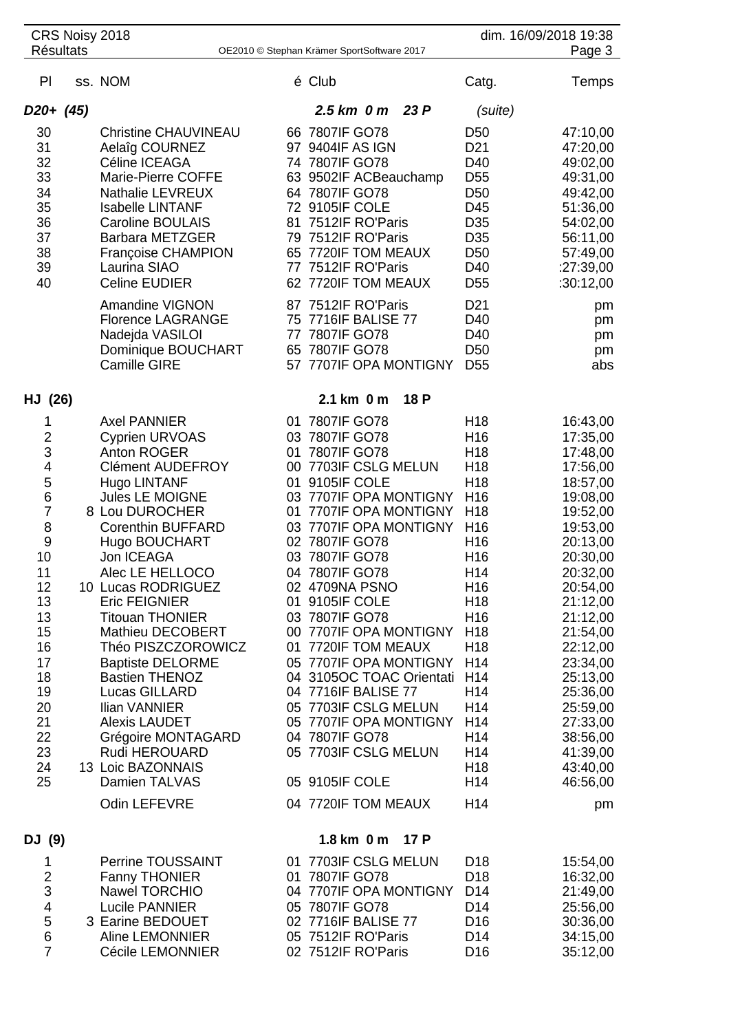| <b>Résultats</b>        | CRS Noisy 2018                                   | OE2010 © Stephan Krämer SportSoftware 2017         |      |                        | dim. 16/09/2018 19:38<br>Page 3 |
|-------------------------|--------------------------------------------------|----------------------------------------------------|------|------------------------|---------------------------------|
|                         |                                                  |                                                    |      |                        |                                 |
| PI                      | ss. NOM                                          | é Club                                             |      | Catg.                  | Temps                           |
| D <sub>20+</sub> (45)   |                                                  | $2.5 \text{ km}$ 0 m                               | 23 P | (suite)                |                                 |
| 30                      | <b>Christine CHAUVINEAU</b>                      | 66 7807IF GO78                                     |      | D <sub>50</sub>        | 47:10,00                        |
| 31                      | Aelaîg COURNEZ                                   | 97 9404IF AS IGN                                   |      | D <sub>21</sub>        | 47:20,00                        |
| 32                      | Céline ICEAGA                                    | 74 7807IF GO78                                     |      | D40                    | 49:02,00                        |
| 33                      | <b>Marie-Pierre COFFE</b>                        | 63 9502IF ACBeauchamp                              |      | D <sub>55</sub>        | 49:31,00                        |
| 34                      | Nathalie LEVREUX                                 | 64 7807IF GO78                                     |      | D <sub>50</sub>        | 49:42,00                        |
| 35                      | <b>Isabelle LINTANF</b>                          | 72 9105IF COLE                                     |      | D45                    | 51:36,00                        |
| 36                      | <b>Caroline BOULAIS</b>                          | 81 7512IF RO'Paris                                 |      | D <sub>35</sub>        | 54:02,00                        |
| 37                      | <b>Barbara METZGER</b>                           | 79 7512IF RO'Paris                                 |      | D <sub>35</sub>        | 56:11,00                        |
| 38                      | Françoise CHAMPION                               | 65 7720IF TOM MEAUX                                |      | D <sub>50</sub>        | 57:49,00                        |
| 39                      | Laurina SIAO                                     | 77 7512IF RO'Paris                                 |      | D40                    | :27:39,00                       |
| 40                      | <b>Celine EUDIER</b>                             | 62 7720IF TOM MEAUX                                |      | D <sub>55</sub>        | :30:12,00                       |
|                         | <b>Amandine VIGNON</b>                           | 87 7512IF RO'Paris                                 |      | D <sub>21</sub>        | pm                              |
|                         | <b>Florence LAGRANGE</b>                         | 75 7716IF BALISE 77                                |      | D40                    | pm                              |
|                         | Nadejda VASILOI                                  | 77 7807IF GO78                                     |      | D40                    | pm                              |
|                         | Dominique BOUCHART                               | 65 7807IF GO78                                     |      | D <sub>50</sub>        | pm                              |
|                         | <b>Camille GIRE</b>                              | 57 7707IF OPA MONTIGNY                             |      | D <sub>55</sub>        | abs                             |
| HJ (26)                 |                                                  | 2.1 km 0 m                                         | 18 P |                        |                                 |
| 1                       | <b>Axel PANNIER</b>                              | 01 7807IF GO78                                     |      | H <sub>18</sub>        | 16:43,00                        |
| $\overline{\mathbf{c}}$ | <b>Cyprien URVOAS</b>                            | 03 7807IF GO78                                     |      | H <sub>16</sub>        | 17:35,00                        |
| 3                       | Anton ROGER                                      | 01 7807IF GO78                                     |      | H <sub>18</sub>        | 17:48,00                        |
| 4                       | <b>Clément AUDEFROY</b>                          | 00 7703IF CSLG MELUN                               |      | H <sub>18</sub>        | 17:56,00                        |
| 5                       | Hugo LINTANF                                     | 01 9105IF COLE                                     |      | H <sub>18</sub>        | 18:57,00                        |
| 6                       | <b>Jules LE MOIGNE</b>                           | 03 7707IF OPA MONTIGNY                             |      | H <sub>16</sub>        | 19:08,00                        |
| 7                       | 8 Lou DUROCHER                                   | 01 7707IF OPA MONTIGNY                             |      | H <sub>18</sub>        | 19:52,00                        |
| 8                       | <b>Corenthin BUFFARD</b>                         | 03 7707IF OPA MONTIGNY                             |      | H <sub>16</sub>        | 19:53,00                        |
| 9                       | Hugo BOUCHART                                    | 02 7807IF GO78                                     |      | H <sub>16</sub>        | 20:13,00                        |
| 10                      | Jon ICEAGA                                       | 03 7807IF GO78                                     |      | H16                    | 20:30,00                        |
| 11                      | Alec LE HELLOCO                                  | 04 7807IF GO78                                     |      | H14                    | 20:32,00                        |
| 12                      | 10 Lucas RODRIGUEZ                               | 02 4709NA PSNO                                     |      | H <sub>16</sub>        | 20:54,00                        |
| 13                      | <b>Eric FEIGNIER</b>                             | 01 9105IF COLE                                     |      | H <sub>18</sub>        | 21:12,00                        |
| 13                      | <b>Titouan THONIER</b>                           | 03 7807IF GO78                                     |      | H <sub>16</sub>        | 21:12,00                        |
| 15                      | <b>Mathieu DECOBERT</b>                          | 00 7707IF OPA MONTIGNY                             |      | H <sub>18</sub>        | 21:54,00                        |
| 16                      | Théo PISZCZOROWICZ                               | 01 7720IF TOM MEAUX                                |      | H <sub>18</sub>        | 22:12,00                        |
| 17                      | <b>Baptiste DELORME</b><br><b>Bastien THENOZ</b> | 05 7707IF OPA MONTIGNY<br>04 3105OC TOAC Orientati |      | H14<br>H <sub>14</sub> | 23:34,00                        |
| 18<br>19                | Lucas GILLARD                                    | 04 7716IF BALISE 77                                |      | H14                    | 25:13,00<br>25:36,00            |
| 20                      | Ilian VANNIER                                    | 05 7703IF CSLG MELUN                               |      | H14                    | 25:59,00                        |
| 21                      | <b>Alexis LAUDET</b>                             | 05 7707IF OPA MONTIGNY                             |      | H <sub>14</sub>        | 27:33,00                        |
| 22                      | Grégoire MONTAGARD                               | 04 7807IF GO78                                     |      | H14                    | 38:56,00                        |
| 23                      | Rudi HEROUARD                                    | 05 7703IF CSLG MELUN                               |      | H14                    | 41:39,00                        |
| 24                      | 13 Loic BAZONNAIS                                |                                                    |      | H <sub>18</sub>        | 43:40,00                        |
| 25                      | Damien TALVAS                                    | 05 9105IF COLE                                     |      | H14                    | 46:56,00                        |
|                         | Odin LEFEVRE                                     | 04 7720IF TOM MEAUX                                |      | H14                    | pm                              |
|                         |                                                  |                                                    |      |                        |                                 |
| DJ (9)                  |                                                  | 1.8 km 0 m                                         | 17 P |                        |                                 |
| 1                       | Perrine TOUSSAINT                                | 01 7703IF CSLG MELUN                               |      | D <sub>18</sub>        | 15:54,00                        |
| $\overline{\mathbf{c}}$ | <b>Fanny THONIER</b>                             | 01 7807IF GO78                                     |      | D <sub>18</sub>        | 16:32,00                        |
| 3                       | <b>Nawel TORCHIO</b>                             | 04 7707IF OPA MONTIGNY                             |      | D <sub>14</sub>        | 21:49,00                        |
| 4                       | <b>Lucile PANNIER</b>                            | 05 7807IF GO78                                     |      | D <sub>14</sub>        | 25:56,00                        |
| 5                       | 3 Earine BEDOUET                                 | 02 7716IF BALISE 77<br>05 7512IF RO'Paris          |      | D <sub>16</sub>        | 30:36,00                        |
| 6<br>$\overline{7}$     | <b>Aline LEMONNIER</b>                           |                                                    |      | D <sub>14</sub>        | 34:15,00                        |
|                         | Cécile LEMONNIER                                 | 02 7512IF RO'Paris                                 |      | D <sub>16</sub>        | 35:12,00                        |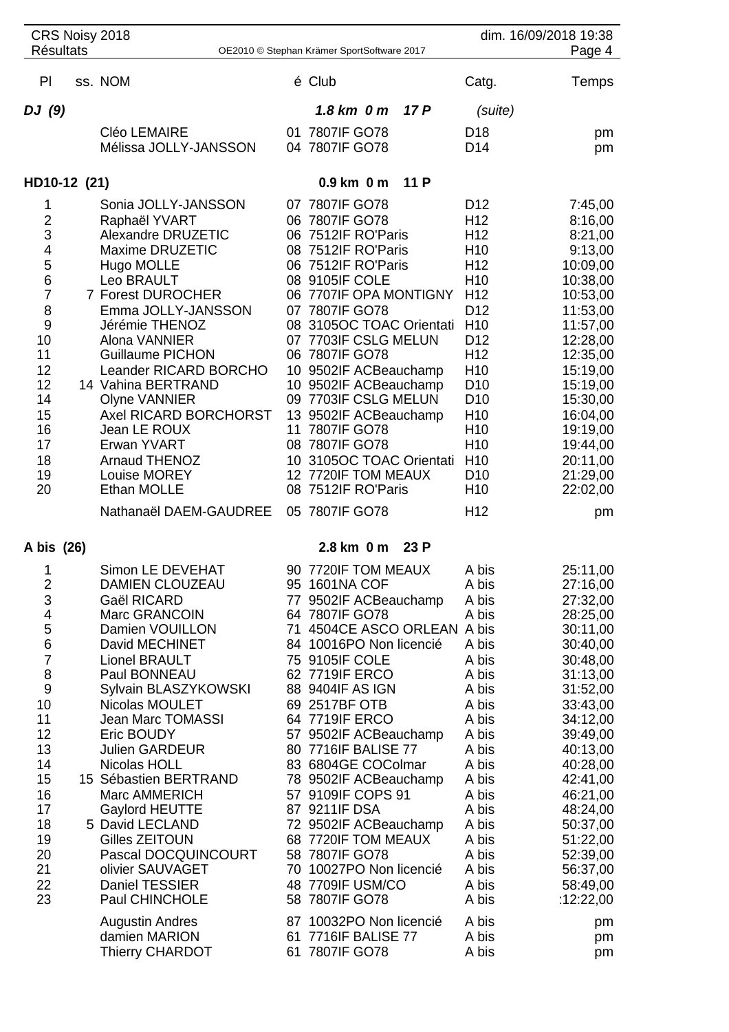| CRS Noisy 2018<br><b>Résultats</b> |  |                                              |  |                                                  |      | dim. 16/09/2018 19:38              |                      |
|------------------------------------|--|----------------------------------------------|--|--------------------------------------------------|------|------------------------------------|----------------------|
|                                    |  |                                              |  | OE2010 © Stephan Krämer SportSoftware 2017       |      |                                    | Page 4               |
| PI                                 |  | ss. NOM                                      |  | é Club                                           |      | Catg.                              | Temps                |
| DJ (9)                             |  |                                              |  | $1.8$ km $0$ m                                   | 17 P | (suite)                            |                      |
|                                    |  | Cléo LEMAIRE                                 |  | 01 7807IF GO78                                   |      | D <sub>18</sub>                    | pm                   |
|                                    |  | Mélissa JOLLY-JANSSON                        |  | 04 7807IF GO78                                   |      | D <sub>14</sub>                    | pm                   |
| HD10-12 (21)                       |  |                                              |  | $0.9$ km $0$ m                                   | 11 P |                                    |                      |
| 1                                  |  | Sonia JOLLY-JANSSON                          |  | 07 7807IF GO78                                   |      | D <sub>12</sub>                    | 7:45,00              |
| $\overline{2}$<br>3                |  | Raphaël YVART                                |  | 06 7807IF GO78                                   |      | H <sub>12</sub><br>H <sub>12</sub> | 8:16,00              |
| 4                                  |  | Alexandre DRUZETIC<br><b>Maxime DRUZETIC</b> |  | 06 7512IF RO'Paris<br>08 7512IF RO'Paris         |      | H <sub>10</sub>                    | 8:21,00<br>9:13,00   |
| 5                                  |  | Hugo MOLLE                                   |  | 06 7512IF RO'Paris                               |      | H <sub>12</sub>                    | 10:09,00             |
| 6                                  |  | Leo BRAULT                                   |  | 08 9105IF COLE                                   |      | H <sub>10</sub>                    | 10:38,00             |
| $\overline{7}$                     |  | 7 Forest DUROCHER                            |  | 06 7707IF OPA MONTIGNY                           |      | H <sub>12</sub>                    | 10:53,00             |
| 8                                  |  | Emma JOLLY-JANSSON                           |  | 07 7807IF GO78                                   |      | D <sub>12</sub>                    | 11:53,00             |
| 9<br>10                            |  | Jérémie THENOZ<br>Alona VANNIER              |  | 08 3105OC TOAC Orientati<br>07 7703IF CSLG MELUN |      | H <sub>10</sub><br>D <sub>12</sub> | 11:57,00<br>12:28,00 |
| 11                                 |  | <b>Guillaume PICHON</b>                      |  | 06 7807IF GO78                                   |      | H <sub>12</sub>                    | 12:35,00             |
| 12                                 |  | Leander RICARD BORCHO                        |  | 10 9502IF ACBeauchamp                            |      | H <sub>10</sub>                    | 15:19,00             |
| 12                                 |  | 14 Vahina BERTRAND                           |  | 10 9502IF ACBeauchamp                            |      | D <sub>10</sub>                    | 15:19,00             |
| 14                                 |  | <b>Olyne VANNIER</b>                         |  | 09 7703IF CSLG MELUN                             |      | D <sub>10</sub>                    | 15:30,00             |
| 15<br>16                           |  | Axel RICARD BORCHORST<br>Jean LE ROUX        |  | 13 9502IF ACBeauchamp<br>11 7807IF GO78          |      | H <sub>10</sub><br>H <sub>10</sub> | 16:04,00<br>19:19,00 |
| 17                                 |  | Erwan YVART                                  |  | 08 7807IF GO78                                   |      | H <sub>10</sub>                    | 19:44,00             |
| 18                                 |  | <b>Arnaud THENOZ</b>                         |  | 10 3105OC TOAC Orientati                         |      | H <sub>10</sub>                    | 20:11,00             |
| 19                                 |  | Louise MOREY                                 |  | 12 7720IF TOM MEAUX                              |      | D <sub>10</sub>                    | 21:29,00             |
| 20                                 |  | Ethan MOLLE                                  |  | 08 7512IF RO'Paris                               |      | H <sub>10</sub>                    | 22:02,00             |
|                                    |  | Nathanaël DAEM-GAUDREE                       |  | 05 7807IF GO78                                   |      | H <sub>12</sub>                    | pm                   |
| A bis (26)                         |  |                                              |  | 2.8 km 0 m                                       | 23P  |                                    |                      |
| 1                                  |  | Simon LE DEVEHAT<br>DAMIEN CLOUZEAU          |  | 90 7720IF TOM MEAUX                              |      | A bis                              | 25:11,00             |
| 2<br>3                             |  | Gaël RICARD                                  |  | 95 1601NA COF<br>77 9502IF ACBeauchamp           |      | A bis<br>A bis                     | 27:16,00<br>27:32,00 |
| 4                                  |  | Marc GRANCOIN                                |  | 64 7807IF GO78                                   |      | A bis                              | 28:25,00             |
| 5                                  |  | Damien VOUILLON                              |  | 71 4504CE ASCO ORLEAN A bis                      |      |                                    | 30:11,00             |
| $6\phantom{1}6$                    |  | David MECHINET                               |  | 84 10016PO Non licencié                          |      | A bis                              | 30:40,00             |
| $\overline{7}$<br>8                |  | <b>Lionel BRAULT</b><br>Paul BONNEAU         |  | 75 9105IF COLE<br>62 7719IF ERCO                 |      | A bis<br>A bis                     | 30:48,00<br>31:13,00 |
| $\overline{9}$                     |  | Sylvain BLASZYKOWSKI                         |  | 88 9404IF AS IGN                                 |      | A bis                              | 31:52,00             |
| 10                                 |  | Nicolas MOULET                               |  | 69 2517BF OTB                                    |      | A bis                              | 33:43,00             |
| 11                                 |  | <b>Jean Marc TOMASSI</b>                     |  | 64 7719IF ERCO                                   |      | A bis                              | 34:12,00             |
| 12                                 |  | Eric BOUDY                                   |  | 57 9502IF ACBeauchamp                            |      | A bis                              | 39:49,00             |
| 13<br>14                           |  | <b>Julien GARDEUR</b><br>Nicolas HOLL        |  | 80 7716IF BALISE 77<br>83 6804GE COColmar        |      | A bis<br>A bis                     | 40:13,00<br>40:28,00 |
| 15                                 |  | 15 Sébastien BERTRAND                        |  | 78 9502IF ACBeauchamp                            |      | A bis                              | 42:41,00             |
| 16                                 |  | Marc AMMERICH                                |  | 57 9109IF COPS 91                                |      | A bis                              | 46:21,00             |
| 17                                 |  | Gaylord HEUTTE                               |  | 87 9211IF DSA                                    |      | A bis                              | 48:24,00             |
| 18                                 |  | 5 David LECLAND                              |  | 72 9502IF ACBeauchamp                            |      | A bis                              | 50:37,00             |
| 19<br>20                           |  | Gilles ZEITOUN<br>Pascal DOCQUINCOURT        |  | 68 7720IF TOM MEAUX<br>58 7807IF GO78            |      | A bis<br>A bis                     | 51:22,00<br>52:39,00 |
| 21                                 |  | olivier SAUVAGET                             |  | 70 10027PO Non licencié                          |      | A bis                              | 56:37,00             |
| 22                                 |  | <b>Daniel TESSIER</b>                        |  | 48 7709IF USM/CO                                 |      | A bis                              | 58:49,00             |
| 23                                 |  | Paul CHINCHOLE                               |  | 58 7807IF GO78                                   |      | A bis                              | :12:22,00            |
|                                    |  | Augustin Andres                              |  | 87 10032PO Non licencié                          |      | A bis                              | pm                   |
|                                    |  | damien MARION<br><b>Thierry CHARDOT</b>      |  | 61 7716IF BALISE 77<br>61 7807IF GO78            |      | A bis<br>A bis                     | pm                   |
|                                    |  |                                              |  |                                                  |      |                                    | pm                   |